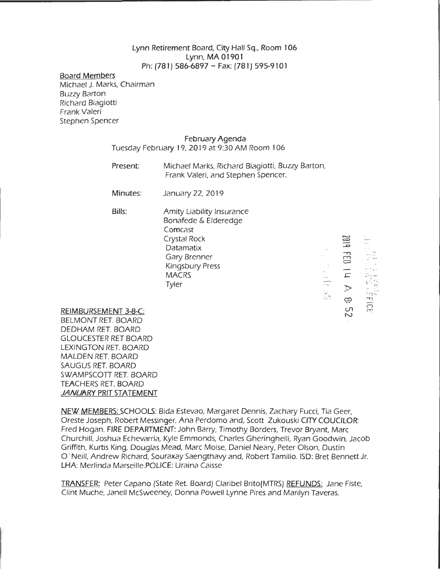## Lynn Retirement Board, City Hall Sq., Room 106 Lynn, MA01901 Ph: (781) 586-6897 ~ Fax: (781) 595-9101

## Board Members

Michael J. Marks, Chairman Buzzy Barton Richard Biagiotti Frank Valeri Stephen Spencer

## February Agenda

Tuesday February 19, 2019 at 9:30 AM Room 106

Present: Michael Marks, Richard Biagiotti, Buzzy Barton, Frank Valeri, and Stephen Spencer.

I ~

 $\overline{\phantom{0}}$  $\equiv$   $\mathcal{C}^{\left( \cdot \right)}$ 

-, n~- rrr

r: 7<br>27

*c.*<br>5.5<br>H

 $\Xi$ 

 $\overline{6}$ 

r=

 $\geq$ بب  $\cup$ N

 $\begin{bmatrix} . & . & . \\ . & . & . \\ . & . & . \end{bmatrix}$ 

 $~^\circ\,$ 

Minutes: January 22, 2019

Bills:

Amity Liability Insurance Bonafede & Elderedge Comcast Crystal Rock Datamatix Gary Brenner Kingsbury Press **MACRS** Tyler

REIMBURSEMENT 3-8-C:

BELMONT RET. BOARD DEDHAM RET. BOARD GLOUCESTER RET BOARD LEXINGTON RET. BOARD MALDEN RET. BOARD SAUGUS RET. BOARD SWAMPSCOTT RET. BOARD TEACHERS RET. BOARD *JANUARY* PRIT STATEMENT

NEW MEMBERS: SCHOOLS: Bida Estevao, Margaret Dennis, Zachary Fucci, Tia Geer, Oreste Joseph, Robert Messinger, Ana Perdomo and, Scott Zukouski CITY COUCILOR: Fred Hogan. FIRE DEPARTMENT: John Barry, Timothy Borders, Trevor Bryant, Marc Churchill, Joshua Echevarria, Kyle Emmonds, Charles Gheringhelli, Ryan Goodwin, Jacob Griffith, Kurtis King, Douglas Mead, Marc Moise, Daniel Neary, Peter Oison, Dustin 0 · Neill, Andrew Richard, Souraxay Saengthavy and, Robert Tamilio. ISO: Bret Bennett Jr. LHA: Merlinda Marseille.POLICE: Uraina Caisse

TRANSFER: Peter Capano (State Ret. Board) Claribel Brito(MTRS) REFUNDS: Jane Fiste, Clint Muche, Janell Mcsweeney, Donna Powell Lynne Pires and Marilyn Taveras.